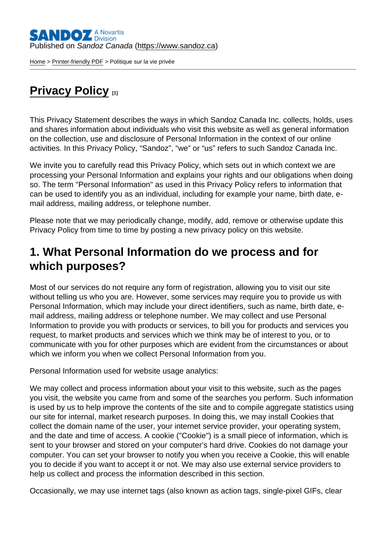[Home](https://www.sandoz.ca/en) > [Printer-friendly PDF](https://www.sandoz.ca/en/printpdf) > Politique sur la vie privée

### [Privacy Policy](https://www.sandoz.ca/en/privacy-policy) [1]

This Privacy Statement describes the ways in which Sandoz Canada Inc. collects, holds, uses and shares information about individuals who visit this website as well as general information on the collection, use and disclosure of Personal Information in the context of our online activities. In this Privacy Policy, "Sandoz", "we" or "us" refers to such Sandoz Canada Inc.

We invite you to carefully read this Privacy Policy, which sets out in which context we are processing your Personal Information and explains your rights and our obligations when doing so. The term "Personal Information" as used in this Privacy Policy refers to information that can be used to identify you as an individual, including for example your name, birth date, email address, mailing address, or telephone number.

Please note that we may periodically change, modify, add, remove or otherwise update this Privacy Policy from time to time by posting a new privacy policy on this website.

#### 1. What Personal Information do we process and for which purposes?

Most of our services do not require any form of registration, allowing you to visit our site without telling us who you are. However, some services may require you to provide us with Personal Information, which may include your direct identifiers, such as name, birth date, email address, mailing address or telephone number. We may collect and use Personal Information to provide you with products or services, to bill you for products and services you request, to market products and services which we think may be of interest to you, or to communicate with you for other purposes which are evident from the circumstances or about which we inform you when we collect Personal Information from you.

Personal Information used for website usage analytics:

We may collect and process information about your visit to this website, such as the pages you visit, the website you came from and some of the searches you perform. Such information is used by us to help improve the contents of the site and to compile aggregate statistics using our site for internal, market research purposes. In doing this, we may install Cookies that collect the domain name of the user, your internet service provider, your operating system, and the date and time of access. A cookie ("Cookie") is a small piece of information, which is sent to your browser and stored on your computer's hard drive. Cookies do not damage your computer. You can set your browser to notify you when you receive a Cookie, this will enable you to decide if you want to accept it or not. We may also use external service providers to help us collect and process the information described in this section.

Occasionally, we may use internet tags (also known as action tags, single-pixel GIFs, clear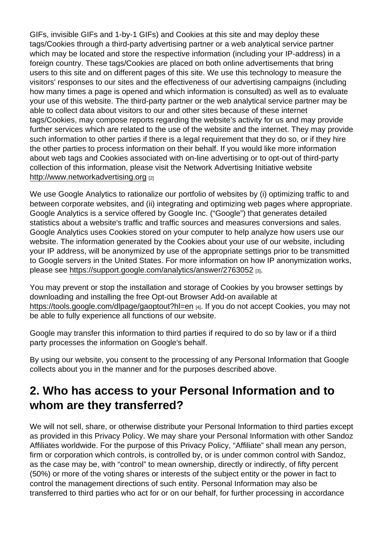GIFs, invisible GIFs and 1-by-1 GIFs) and Cookies at this site and may deploy these tags/Cookies through a third-party advertising partner or a web analytical service partner which may be located and store the respective information (including your IP-address) in a foreign country. These tags/Cookies are placed on both online advertisements that bring users to this site and on different pages of this site. We use this technology to measure the visitors' responses to our sites and the effectiveness of our advertising campaigns (including how many times a page is opened and which information is consulted) as well as to evaluate your use of this website. The third-party partner or the web analytical service partner may be able to collect data about visitors to our and other sites because of these internet tags/Cookies, may compose reports regarding the website's activity for us and may provide further services which are related to the use of the website and the internet. They may provide such information to other parties if there is a legal requirement that they do so, or if they hire the other parties to process information on their behalf. If you would like more information about web tags and Cookies associated with on-line advertising or to opt-out of third-party collection of this information, please visit the Network Advertising Initiative website [http://www.networkadvertising.org](http://www.networkadvertising.org/) [2]

We use Google Analytics to rationalize our portfolio of websites by (i) optimizing traffic to and between corporate websites, and (ii) integrating and optimizing web pages where appropriate. Google Analytics is a service offered by Google Inc. ("Google") that generates detailed statistics about a website's traffic and traffic sources and measures conversions and sales. Google Analytics uses Cookies stored on your computer to help analyze how users use our website. The information generated by the Cookies about your use of our website, including your IP address, will be anonymized by use of the appropriate settings prior to be transmitted to Google servers in the United States. For more information on how IP anonymization works, please see<https://support.google.com/analytics/answer/2763052> [3].

You may prevent or stop the installation and storage of Cookies by you browser settings by downloading and installing the free Opt-out Browser Add-on available at <https://tools.google.com/dlpage/gaoptout?hl=en> [4]. If you do not accept Cookies, you may not be able to fully experience all functions of our website.

Google may transfer this information to third parties if required to do so by law or if a third party processes the information on Google's behalf.

By using our website, you consent to the processing of any Personal Information that Google collects about you in the manner and for the purposes described above.

### 2. Who has access to your Personal Information and to whom are they transferred?

We will not sell, share, or otherwise distribute your Personal Information to third parties except as provided in this Privacy Policy. We may share your Personal Information with other Sandoz Affiliates worldwide. For the purpose of this Privacy Policy, "Affiliate" shall mean any person, firm or corporation which controls, is controlled by, or is under common control with Sandoz, as the case may be, with "control" to mean ownership, directly or indirectly, of fifty percent (50%) or more of the voting shares or interests of the subject entity or the power in fact to control the management directions of such entity. Personal Information may also be transferred to third parties who act for or on our behalf, for further processing in accordance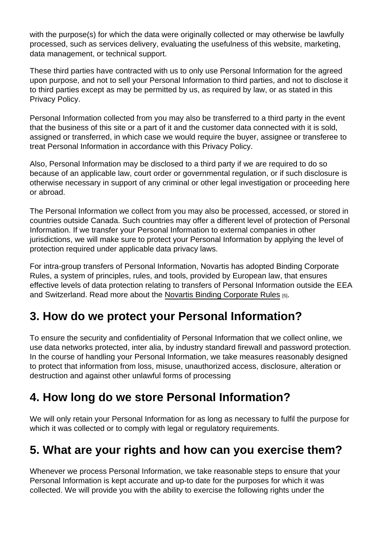with the purpose(s) for which the data were originally collected or may otherwise be lawfully processed, such as services delivery, evaluating the usefulness of this website, marketing, data management, or technical support.

These third parties have contracted with us to only use Personal Information for the agreed upon purpose, and not to sell your Personal Information to third parties, and not to disclose it to third parties except as may be permitted by us, as required by law, or as stated in this Privacy Policy.

Personal Information collected from you may also be transferred to a third party in the event that the business of this site or a part of it and the customer data connected with it is sold, assigned or transferred, in which case we would require the buyer, assignee or transferee to treat Personal Information in accordance with this Privacy Policy.

Also, Personal Information may be disclosed to a third party if we are required to do so because of an applicable law, court order or governmental regulation, or if such disclosure is otherwise necessary in support of any criminal or other legal investigation or proceeding here or abroad.

The Personal Information we collect from you may also be processed, accessed, or stored in countries outside Canada. Such countries may offer a different level of protection of Personal Information. If we transfer your Personal Information to external companies in other jurisdictions, we will make sure to protect your Personal Information by applying the level of protection required under applicable data privacy laws.

For intra-group transfers of Personal Information, Novartis has adopted Binding Corporate Rules, a system of principles, rules, and tools, provided by European law, that ensures effective levels of data protection relating to transfers of Personal Information outside the EEA and Switzerland. Read more about the [Novartis Binding Corporate Rules](https://www.novartis.ca/en/privacy-policy#corp-rules) [5].

### 3. How do we protect your Personal Information?

To ensure the security and confidentiality of Personal Information that we collect online, we use data networks protected, inter alia, by industry standard firewall and password protection. In the course of handling your Personal Information, we take measures reasonably designed to protect that information from loss, misuse, unauthorized access, disclosure, alteration or destruction and against other unlawful forms of processing

## 4. How long do we store Personal Information?

We will only retain your Personal Information for as long as necessary to fulfil the purpose for which it was collected or to comply with legal or regulatory requirements.

### 5. What are your rights and how can you exercise them?

Whenever we process Personal Information, we take reasonable steps to ensure that your Personal Information is kept accurate and up-to date for the purposes for which it was collected. We will provide you with the ability to exercise the following rights under the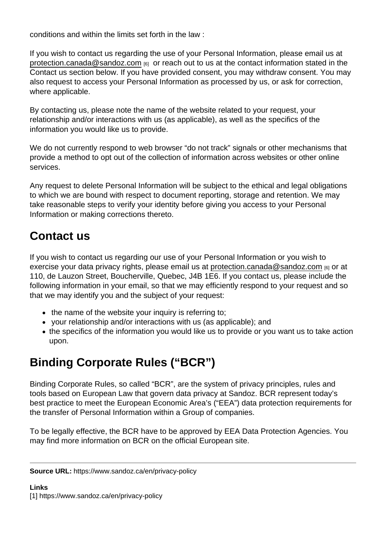conditions and within the limits set forth in the law :

If you wish to contact us regarding the use of your Personal Information, please email us at [protection.canada@sandoz.com](mailto:protection.canada@sandoz.com) [6] or reach out to us at the contact information stated in the Contact us section below. If you have provided consent, you may withdraw consent. You may also request to access your Personal Information as processed by us, or ask for correction, where applicable.

By contacting us, please note the name of the website related to your request, your relationship and/or interactions with us (as applicable), as well as the specifics of the information you would like us to provide.

We do not currently respond to web browser "do not track" signals or other mechanisms that provide a method to opt out of the collection of information across websites or other online services.

Any request to delete Personal Information will be subject to the ethical and legal obligations to which we are bound with respect to document reporting, storage and retention. We may take reasonable steps to verify your identity before giving you access to your Personal Information or making corrections thereto.

# Contact us

If you wish to contact us regarding our use of your Personal Information or you wish to exercise your data privacy rights, please email us at [protection.canada@sandoz.com](mailto:protection.canada@sandoz.com) [6] or at 110, de Lauzon Street, Boucherville, Quebec, J4B 1E6. If you contact us, please include the following information in your email, so that we may efficiently respond to your request and so that we may identify you and the subject of your request:

- $\bullet$  the name of the website your inquiry is referring to;
- your relationship and/or interactions with us (as applicable); and
- the specifics of the information you would like us to provide or you want us to take action upon.

# Binding Corporate Rules ("BCR")

Binding Corporate Rules, so called "BCR", are the system of privacy principles, rules and tools based on European Law that govern data privacy at Sandoz. BCR represent today's best practice to meet the European Economic Area's ("EEA") data protection requirements for the transfer of Personal Information within a Group of companies.

To be legally effective, the BCR have to be approved by EEA Data Protection Agencies. You may find more information on BCR on the official European site.

Source URL: https://www.sandoz.ca/en/privacy-policy